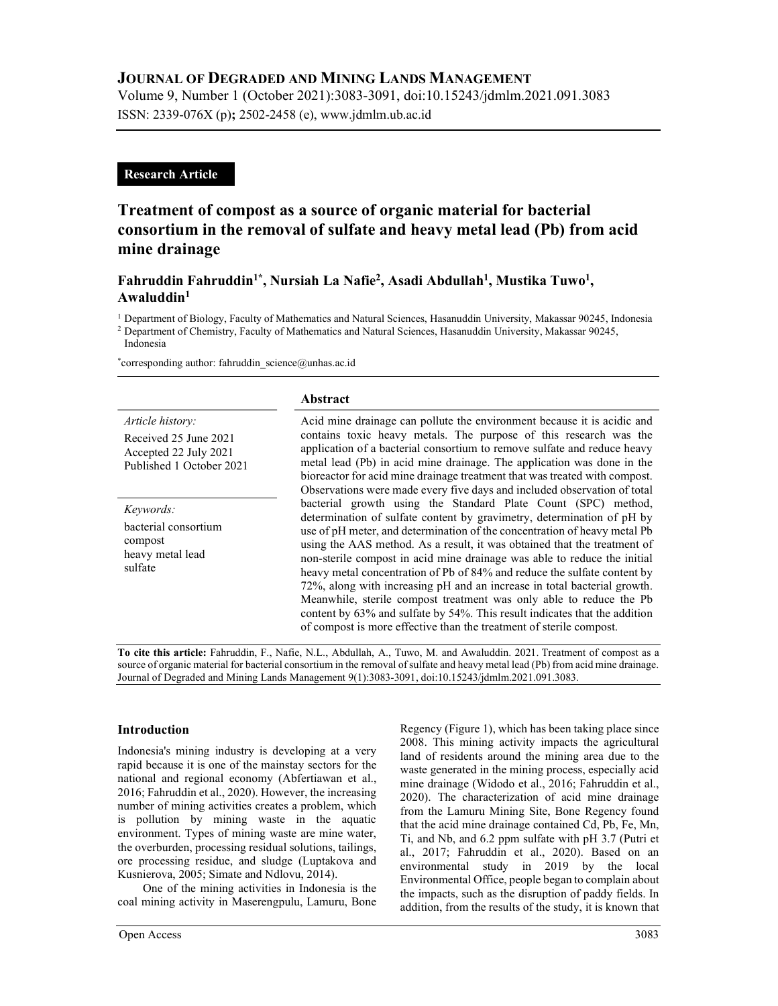# JOURNAL OF DEGRADED AND MINING LANDS MANAGEMENT

Volume 9, Number 1 (October 2021):3083-3091, doi:10.15243/jdmlm.2021.091.3083 ISSN: 2339-076X (p); 2502-2458 (e), www.jdmlm.ub.ac.id

# Research Article

# Treatment of compost as a source of organic material for bacterial consortium in the removal of sulfate and heavy metal lead (Pb) from acid mine drainage

# Fahruddin Fahruddin<sup>1\*</sup>, Nursiah La Nafie<sup>2</sup>, Asadi Abdullah<sup>1</sup>, Mustika Tuwo<sup>1</sup>, Awaluddin<sup>1</sup>

<sup>1</sup> Department of Biology, Faculty of Mathematics and Natural Sciences, Hasanuddin University, Makassar 90245, Indonesia

<sup>2</sup> Department of Chemistry, Faculty of Mathematics and Natural Sciences, Hasanuddin University, Makassar 90245, Indonesia

\*corresponding author: fahruddin\_science@unhas.ac.id

# Article history:

Received 25 June 2021 Accepted 22 July 2021 Published 1 October 2021

Keywords: bacterial consortium compost heavy metal lead sulfate

#### Abstract

Acid mine drainage can pollute the environment because it is acidic and contains toxic heavy metals. The purpose of this research was the application of a bacterial consortium to remove sulfate and reduce heavy metal lead (Pb) in acid mine drainage. The application was done in the bioreactor for acid mine drainage treatment that was treated with compost. Observations were made every five days and included observation of total bacterial growth using the Standard Plate Count (SPC) method, determination of sulfate content by gravimetry, determination of pH by use of pH meter, and determination of the concentration of heavy metal Pb using the AAS method. As a result, it was obtained that the treatment of non-sterile compost in acid mine drainage was able to reduce the initial heavy metal concentration of Pb of 84% and reduce the sulfate content by 72%, along with increasing pH and an increase in total bacterial growth. Meanwhile, sterile compost treatment was only able to reduce the Pb content by 63% and sulfate by 54%. This result indicates that the addition of compost is more effective than the treatment of sterile compost.

To cite this article: Fahruddin, F., Nafie, N.L., Abdullah, A., Tuwo, M. and Awaluddin. 2021. Treatment of compost as a source of organic material for bacterial consortium in the removal of sulfate and heavy metal lead (Pb) from acid mine drainage. Journal of Degraded and Mining Lands Management 9(1):3083-3091, doi:10.15243/jdmlm.2021.091.3083.

## Introduction

Indonesia's mining industry is developing at a very rapid because it is one of the mainstay sectors for the national and regional economy (Abfertiawan et al., 2016; Fahruddin et al., 2020). However, the increasing number of mining activities creates a problem, which is pollution by mining waste in the aquatic environment. Types of mining waste are mine water, the overburden, processing residual solutions, tailings, ore processing residue, and sludge (Luptakova and Kusnierova, 2005; Simate and Ndlovu, 2014).

 One of the mining activities in Indonesia is the coal mining activity in Maserengpulu, Lamuru, Bone 2008. This mining activity impacts the agricultural land of residents around the mining area due to the waste generated in the mining process, especially acid mine drainage (Widodo et al., 2016; Fahruddin et al., 2020). The characterization of acid mine drainage from the Lamuru Mining Site, Bone Regency found that the acid mine drainage contained Cd, Pb, Fe, Mn, Ti, and Nb, and 6.2 ppm sulfate with pH 3.7 (Putri et al., 2017; Fahruddin et al., 2020). Based on an environmental study in 2019 by the local Environmental Office, people began to complain about the impacts, such as the disruption of paddy fields. In addition, from the results of the study, it is known that

Regency (Figure 1), which has been taking place since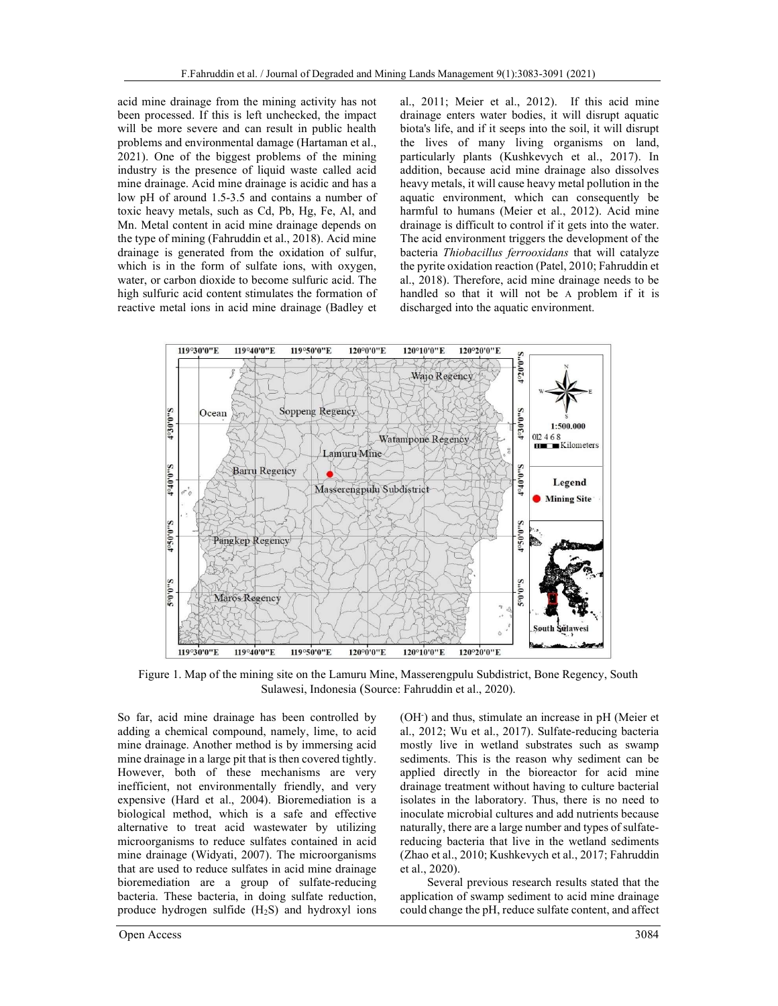acid mine drainage from the mining activity has not been processed. If this is left unchecked, the impact will be more severe and can result in public health problems and environmental damage (Hartaman et al., 2021). One of the biggest problems of the mining industry is the presence of liquid waste called acid mine drainage. Acid mine drainage is acidic and has a low pH of around 1.5-3.5 and contains a number of toxic heavy metals, such as Cd, Pb, Hg, Fe, Al, and Mn. Metal content in acid mine drainage depends on the type of mining (Fahruddin et al., 2018). Acid mine drainage is generated from the oxidation of sulfur, which is in the form of sulfate ions, with oxygen, water, or carbon dioxide to become sulfuric acid. The high sulfuric acid content stimulates the formation of reactive metal ions in acid mine drainage (Badley et al., 2011; Meier et al., 2012). If this acid mine drainage enters water bodies, it will disrupt aquatic biota's life, and if it seeps into the soil, it will disrupt the lives of many living organisms on land, particularly plants (Kushkevych et al., 2017). In addition, because acid mine drainage also dissolves heavy metals, it will cause heavy metal pollution in the aquatic environment, which can consequently be harmful to humans (Meier et al., 2012). Acid mine drainage is difficult to control if it gets into the water. The acid environment triggers the development of the bacteria Thiobacillus ferrooxidans that will catalyze the pyrite oxidation reaction (Patel, 2010; Fahruddin et al., 2018). Therefore, acid mine drainage needs to be handled so that it will not be A problem if it is discharged into the aquatic environment.



Figure 1. Map of the mining site on the Lamuru Mine, Masserengpulu Subdistrict, Bone Regency, South Sulawesi, Indonesia (Source: Fahruddin et al., 2020).

So far, acid mine drainage has been controlled by adding a chemical compound, namely, lime, to acid mine drainage. Another method is by immersing acid mine drainage in a large pit that is then covered tightly. However, both of these mechanisms are very inefficient, not environmentally friendly, and very expensive (Hard et al., 2004). Bioremediation is a biological method, which is a safe and effective alternative to treat acid wastewater by utilizing microorganisms to reduce sulfates contained in acid mine drainage (Widyati, 2007). The microorganisms that are used to reduce sulfates in acid mine drainage bioremediation are a group of sulfate-reducing bacteria. These bacteria, in doing sulfate reduction, produce hydrogen sulfide  $(H_2S)$  and hydroxyl ions

Open Access 3084

(OH<sup>-</sup>) and thus, stimulate an increase in pH (Meier et al., 2012; Wu et al., 2017). Sulfate-reducing bacteria mostly live in wetland substrates such as swamp sediments. This is the reason why sediment can be applied directly in the bioreactor for acid mine drainage treatment without having to culture bacterial isolates in the laboratory. Thus, there is no need to inoculate microbial cultures and add nutrients because naturally, there are a large number and types of sulfatereducing bacteria that live in the wetland sediments (Zhao et al., 2010; Kushkevych et al., 2017; Fahruddin et al., 2020).

Several previous research results stated that the application of swamp sediment to acid mine drainage could change the pH, reduce sulfate content, and affect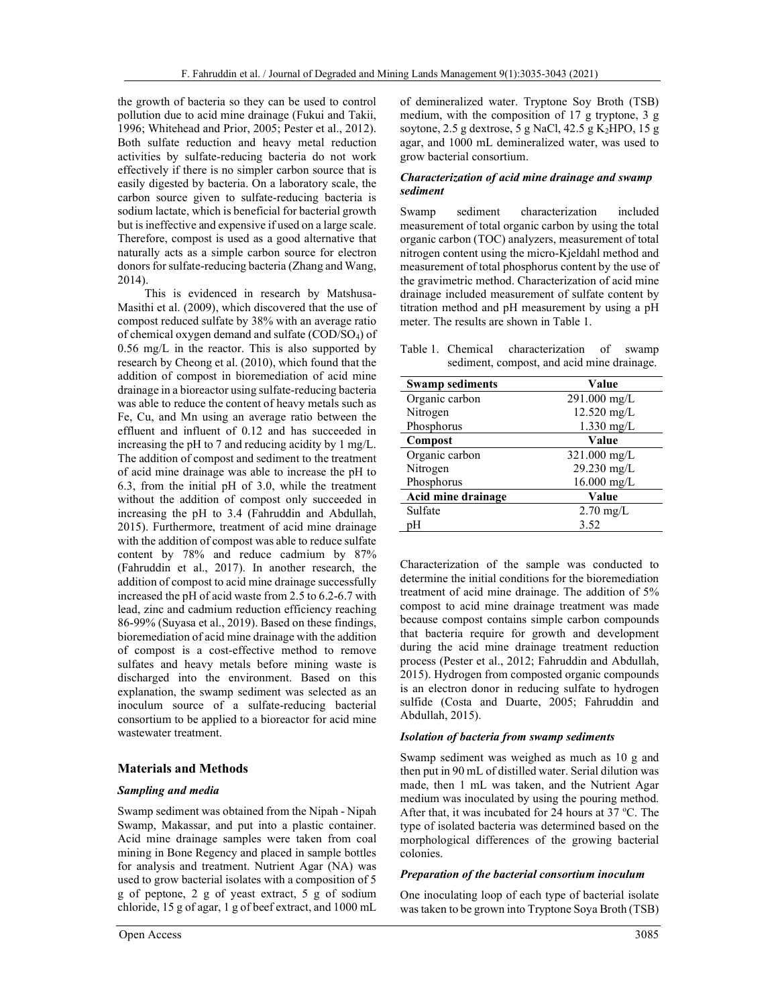the growth of bacteria so they can be used to control pollution due to acid mine drainage (Fukui and Takii, 1996; Whitehead and Prior, 2005; Pester et al., 2012). Both sulfate reduction and heavy metal reduction activities by sulfate-reducing bacteria do not work effectively if there is no simpler carbon source that is easily digested by bacteria. On a laboratory scale, the carbon source given to sulfate-reducing bacteria is sodium lactate, which is beneficial for bacterial growth but is ineffective and expensive if used on a large scale. Therefore, compost is used as a good alternative that naturally acts as a simple carbon source for electron donors for sulfate-reducing bacteria (Zhang and Wang, 2014).

This is evidenced in research by Matshusa-Masithi et al. (2009), which discovered that the use of compost reduced sulfate by 38% with an average ratio of chemical oxygen demand and sulfate (COD/SO4) of 0.56 mg/L in the reactor. This is also supported by research by Cheong et al. (2010), which found that the addition of compost in bioremediation of acid mine drainage in a bioreactor using sulfate-reducing bacteria was able to reduce the content of heavy metals such as Fe, Cu, and Mn using an average ratio between the effluent and influent of 0.12 and has succeeded in increasing the pH to 7 and reducing acidity by 1 mg/L. The addition of compost and sediment to the treatment of acid mine drainage was able to increase the pH to 6.3, from the initial pH of 3.0, while the treatment without the addition of compost only succeeded in increasing the pH to 3.4 (Fahruddin and Abdullah, 2015). Furthermore, treatment of acid mine drainage with the addition of compost was able to reduce sulfate content by 78% and reduce cadmium by 87% (Fahruddin et al., 2017). In another research, the addition of compost to acid mine drainage successfully increased the pH of acid waste from 2.5 to 6.2-6.7 with lead, zinc and cadmium reduction efficiency reaching 86-99% (Suyasa et al., 2019). Based on these findings, bioremediation of acid mine drainage with the addition of compost is a cost-effective method to remove sulfates and heavy metals before mining waste is discharged into the environment. Based on this explanation, the swamp sediment was selected as an inoculum source of a sulfate-reducing bacterial consortium to be applied to a bioreactor for acid mine wastewater treatment.

#### Materials and Methods

#### Sampling and media

Swamp sediment was obtained from the Nipah - Nipah Swamp, Makassar, and put into a plastic container. Acid mine drainage samples were taken from coal mining in Bone Regency and placed in sample bottles for analysis and treatment. Nutrient Agar (NA) was used to grow bacterial isolates with a composition of 5 g of peptone, 2 g of yeast extract, 5 g of sodium chloride, 15 g of agar, 1 g of beef extract, and 1000 mL of demineralized water. Tryptone Soy Broth (TSB) medium, with the composition of 17 g tryptone, 3 g soytone,  $2.5$  g dextrose,  $5$  g NaCl,  $42.5$  g K<sub>2</sub>HPO,  $15$  g agar, and 1000 mL demineralized water, was used to grow bacterial consortium.

#### Characterization of acid mine drainage and swamp sediment

Swamp sediment characterization included measurement of total organic carbon by using the total organic carbon (TOC) analyzers, measurement of total nitrogen content using the micro-Kjeldahl method and measurement of total phosphorus content by the use of the gravimetric method. Characterization of acid mine drainage included measurement of sulfate content by titration method and pH measurement by using a pH meter. The results are shown in Table 1.

Table 1. Chemical characterization of swamp sediment, compost, and acid mine drainage.

| <b>Swamp sediments</b> | Value               |  |  |
|------------------------|---------------------|--|--|
| Organic carbon         | 291.000 mg/L        |  |  |
| Nitrogen               | $12.520$ mg/L       |  |  |
| Phosphorus             | $1.330$ mg/L        |  |  |
| Compost                | Value               |  |  |
| Organic carbon         | 321.000 mg/L        |  |  |
| Nitrogen               | 29.230 mg/L         |  |  |
| Phosphorus             | $16.000$ mg/L       |  |  |
| Acid mine drainage     | Value               |  |  |
| Sulfate                | $2.70 \text{ mg/L}$ |  |  |
| pН                     | 3.52                |  |  |

Characterization of the sample was conducted to determine the initial conditions for the bioremediation treatment of acid mine drainage. The addition of 5% compost to acid mine drainage treatment was made because compost contains simple carbon compounds that bacteria require for growth and development during the acid mine drainage treatment reduction process (Pester et al., 2012; Fahruddin and Abdullah, 2015). Hydrogen from composted organic compounds is an electron donor in reducing sulfate to hydrogen sulfide (Costa and Duarte, 2005; Fahruddin and Abdullah, 2015).

#### Isolation of bacteria from swamp sediments

Swamp sediment was weighed as much as 10 g and then put in 90 mL of distilled water. Serial dilution was made, then 1 mL was taken, and the Nutrient Agar medium was inoculated by using the pouring method. After that, it was incubated for 24 hours at 37  $^{\circ}$ C. The type of isolated bacteria was determined based on the morphological differences of the growing bacterial colonies.

#### Preparation of the bacterial consortium inoculum

One inoculating loop of each type of bacterial isolate was taken to be grown into Tryptone Soya Broth (TSB)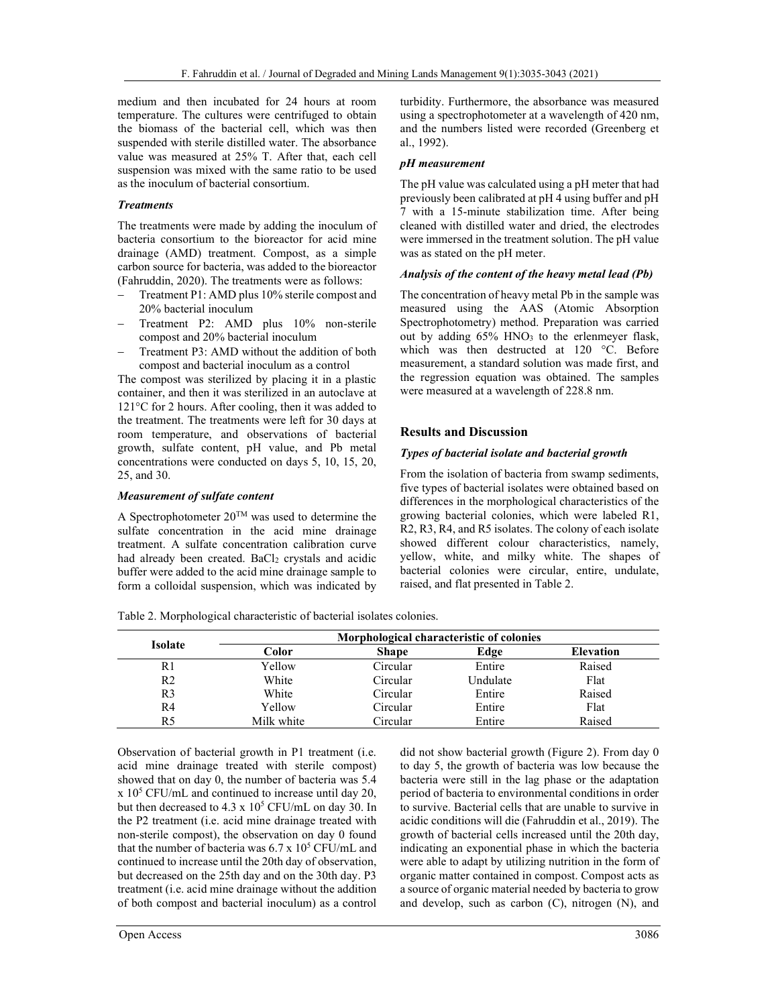medium and then incubated for 24 hours at room temperature. The cultures were centrifuged to obtain the biomass of the bacterial cell, which was then suspended with sterile distilled water. The absorbance value was measured at 25% T. After that, each cell suspension was mixed with the same ratio to be used as the inoculum of bacterial consortium.

#### **Treatments**

The treatments were made by adding the inoculum of bacteria consortium to the bioreactor for acid mine drainage (AMD) treatment. Compost, as a simple carbon source for bacteria, was added to the bioreactor (Fahruddin, 2020). The treatments were as follows:

- Treatment P1: AMD plus 10% sterile compost and 20% bacterial inoculum
- Treatment P2: AMD plus 10% non-sterile compost and 20% bacterial inoculum
- Treatment P3: AMD without the addition of both compost and bacterial inoculum as a control

The compost was sterilized by placing it in a plastic container, and then it was sterilized in an autoclave at 121°C for 2 hours. After cooling, then it was added to the treatment. The treatments were left for 30 days at room temperature, and observations of bacterial growth, sulfate content, pH value, and Pb metal concentrations were conducted on days 5, 10, 15, 20, 25, and 30.

#### Measurement of sulfate content

A Spectrophotometer  $20^{\rm TM}$  was used to determine the sulfate concentration in the acid mine drainage treatment. A sulfate concentration calibration curve had already been created. BaCl<sub>2</sub> crystals and acidic buffer were added to the acid mine drainage sample to form a colloidal suspension, which was indicated by turbidity. Furthermore, the absorbance was measured using a spectrophotometer at a wavelength of 420 nm, and the numbers listed were recorded (Greenberg et al., 1992).

## pH measurement

The pH value was calculated using a pH meter that had previously been calibrated at pH 4 using buffer and pH 7 with a 15-minute stabilization time. After being cleaned with distilled water and dried, the electrodes were immersed in the treatment solution. The pH value was as stated on the pH meter.

## Analysis of the content of the heavy metal lead (Pb)

The concentration of heavy metal Pb in the sample was measured using the AAS (Atomic Absorption Spectrophotometry) method. Preparation was carried out by adding 65% HNO<sub>3</sub> to the erlenmeyer flask, which was then destructed at 120 °C. Before measurement, a standard solution was made first, and the regression equation was obtained. The samples were measured at a wavelength of 228.8 nm.

## Results and Discussion

## Types of bacterial isolate and bacterial growth

From the isolation of bacteria from swamp sediments, five types of bacterial isolates were obtained based on differences in the morphological characteristics of the growing bacterial colonies, which were labeled R1, R2, R3, R4, and R5 isolates. The colony of each isolate showed different colour characteristics, namely, yellow, white, and milky white. The shapes of bacterial colonies were circular, entire, undulate, raised, and flat presented in Table 2.

Table 2. Morphological characteristic of bacterial isolates colonies.

| <b>Isolate</b> | Morphological characteristic of colonies |              |          |                  |  |
|----------------|------------------------------------------|--------------|----------|------------------|--|
|                | Color                                    | <b>Shape</b> | Edge     | <b>Elevation</b> |  |
| R1             | Yellow                                   | Circular     | Entire   | Raised           |  |
| R2             | White                                    | Circular     | Undulate | Flat             |  |
| R <sub>3</sub> | White                                    | Circular     | Entire   | Raised           |  |
| R4             | Yellow                                   | Circular     | Entire   | Flat             |  |
| R5             | Milk white                               | Circular     | Entire   | Raised           |  |

Observation of bacterial growth in P1 treatment (i.e. acid mine drainage treated with sterile compost) showed that on day 0, the number of bacteria was 5.4  $x 10^5$  CFU/mL and continued to increase until day 20, but then decreased to  $4.3 \times 10^5$  CFU/mL on day 30. In the P2 treatment (i.e. acid mine drainage treated with non-sterile compost), the observation on day 0 found that the number of bacteria was  $6.7 \times 10^5$  CFU/mL and continued to increase until the 20th day of observation, but decreased on the 25th day and on the 30th day. P3 treatment (i.e. acid mine drainage without the addition of both compost and bacterial inoculum) as a control

did not show bacterial growth (Figure 2). From day 0 to day 5, the growth of bacteria was low because the bacteria were still in the lag phase or the adaptation period of bacteria to environmental conditions in order to survive. Bacterial cells that are unable to survive in acidic conditions will die (Fahruddin et al., 2019). The growth of bacterial cells increased until the 20th day, indicating an exponential phase in which the bacteria were able to adapt by utilizing nutrition in the form of organic matter contained in compost. Compost acts as a source of organic material needed by bacteria to grow and develop, such as carbon (C), nitrogen (N), and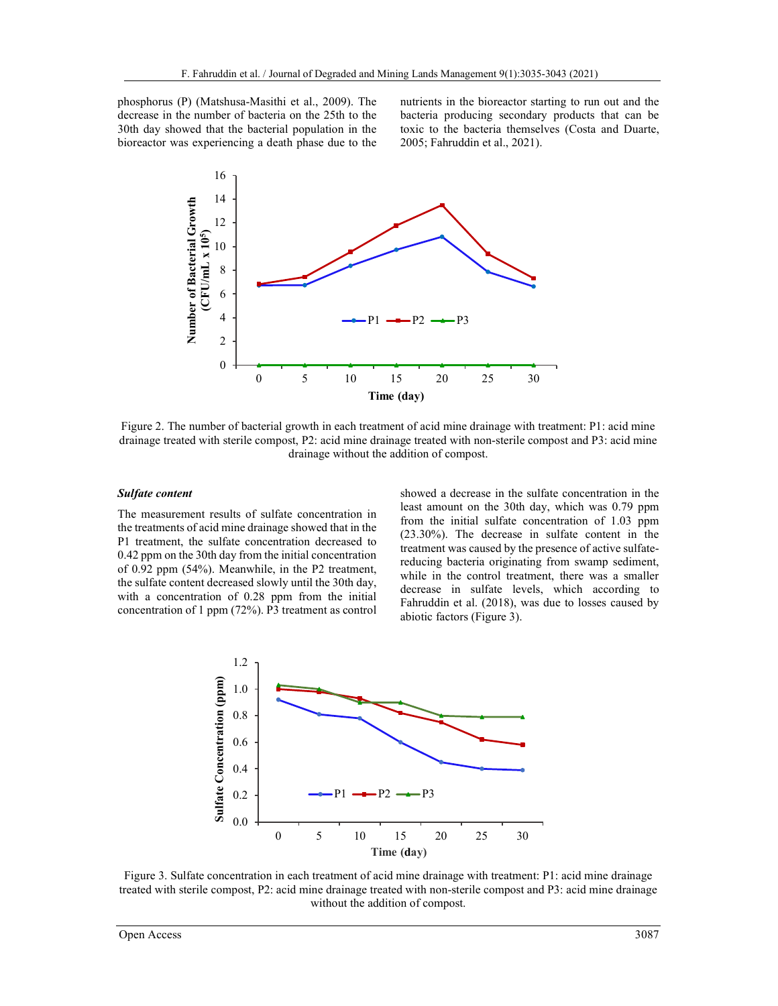phosphorus (P) (Matshusa-Masithi et al., 2009). The decrease in the number of bacteria on the 25th to the 30th day showed that the bacterial population in the bioreactor was experiencing a death phase due to the nutrients in the bioreactor starting to run out and the bacteria producing secondary products that can be toxic to the bacteria themselves (Costa and Duarte, 2005; Fahruddin et al., 2021).



Figure 2. The number of bacterial growth in each treatment of acid mine drainage with treatment: P1: acid mine drainage treated with sterile compost, P2: acid mine drainage treated with non-sterile compost and P3: acid mine drainage without the addition of compost.

#### Sulfate content

The measurement results of sulfate concentration in the treatments of acid mine drainage showed that in the P1 treatment, the sulfate concentration decreased to 0.42 ppm on the 30th day from the initial concentration of 0.92 ppm (54%). Meanwhile, in the P2 treatment, the sulfate content decreased slowly until the 30th day, with a concentration of 0.28 ppm from the initial concentration of 1 ppm (72%). P3 treatment as control showed a decrease in the sulfate concentration in the least amount on the 30th day, which was 0.79 ppm from the initial sulfate concentration of 1.03 ppm (23.30%). The decrease in sulfate content in the treatment was caused by the presence of active sulfatereducing bacteria originating from swamp sediment, while in the control treatment, there was a smaller decrease in sulfate levels, which according to Fahruddin et al. (2018), was due to losses caused by abiotic factors (Figure 3).



Figure 3. Sulfate concentration in each treatment of acid mine drainage with treatment: P1: acid mine drainage treated with sterile compost, P2: acid mine drainage treated with non-sterile compost and P3: acid mine drainage without the addition of compost.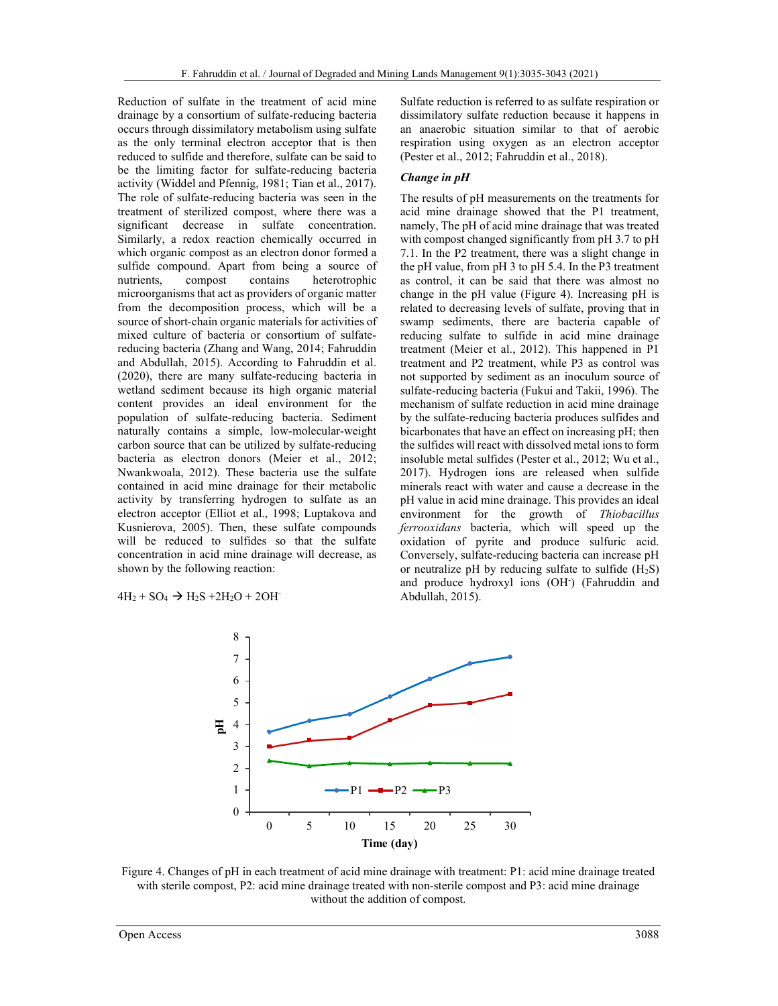Reduction of sulfate in the treatment of acid mine drainage by a consortium of sulfate-reducing bacteria occurs through dissimilatory metabolism using sulfate as the only terminal electron acceptor that is then reduced to sulfide and therefore, sulfate can be said to be the limiting factor for sulfate-reducing bacteria activity (Widdel and Pfennig, 1981; Tian et al., 2017). The role of sulfate-reducing bacteria was seen in the treatment of sterilized compost, where there was a significant decrease in sulfate concentration. Similarly, a redox reaction chemically occurred in which organic compost as an electron donor formed a sulfide compound. Apart from being a source of nutrients, compost contains heterotrophic microorganisms that act as providers of organic matter from the decomposition process, which will be a source of short-chain organic materials for activities of mixed culture of bacteria or consortium of sulfatereducing bacteria (Zhang and Wang, 2014; Fahruddin and Abdullah, 2015). According to Fahruddin et al. (2020), there are many sulfate-reducing bacteria in wetland sediment because its high organic material content provides an ideal environment for the population of sulfate-reducing bacteria. Sediment naturally contains a simple, low-molecular-weight carbon source that can be utilized by sulfate-reducing bacteria as electron donors (Meier et al., 2012; Nwankwoala, 2012). These bacteria use the sulfate contained in acid mine drainage for their metabolic activity by transferring hydrogen to sulfate as an electron acceptor (Elliot et al., 1998; Luptakova and Kusnierova, 2005). Then, these sulfate compounds will be reduced to sulfides so that the sulfate concentration in acid mine drainage will decrease, as shown by the following reaction:

 $4H_2 + SO_4 \rightarrow H_2S + 2H_2O + 2OH$ 

Sulfate reduction is referred to as sulfate respiration or dissimilatory sulfate reduction because it happens in an anaerobic situation similar to that of aerobic respiration using oxygen as an electron acceptor (Pester et al., 2012; Fahruddin et al., 2018).

#### Change in pH

The results of pH measurements on the treatments for acid mine drainage showed that the P1 treatment, namely, The pH of acid mine drainage that was treated with compost changed significantly from pH 3.7 to pH 7.1. In the P2 treatment, there was a slight change in the pH value, from pH 3 to pH 5.4. In the P3 treatment as control, it can be said that there was almost no change in the pH value (Figure 4). Increasing pH is related to decreasing levels of sulfate, proving that in swamp sediments, there are bacteria capable of reducing sulfate to sulfide in acid mine drainage treatment (Meier et al., 2012). This happened in P1 treatment and P2 treatment, while P3 as control was not supported by sediment as an inoculum source of sulfate-reducing bacteria (Fukui and Takii, 1996). The mechanism of sulfate reduction in acid mine drainage by the sulfate-reducing bacteria produces sulfides and bicarbonates that have an effect on increasing pH; then the sulfides will react with dissolved metal ions to form insoluble metal sulfides (Pester et al., 2012; Wu et al., 2017). Hydrogen ions are released when sulfide minerals react with water and cause a decrease in the pH value in acid mine drainage. This provides an ideal environment for the growth of Thiobacillus ferrooxidans bacteria, which will speed up the oxidation of pyrite and produce sulfuric acid. Conversely, sulfate-reducing bacteria can increase pH or neutralize pH by reducing sulfate to sulfide  $(H_2S)$ and produce hydroxyl ions (OH- ) (Fahruddin and Abdullah, 2015).



Figure 4. Changes of pH in each treatment of acid mine drainage with treatment: P1: acid mine drainage treated with sterile compost, P2: acid mine drainage treated with non-sterile compost and P3: acid mine drainage without the addition of compost.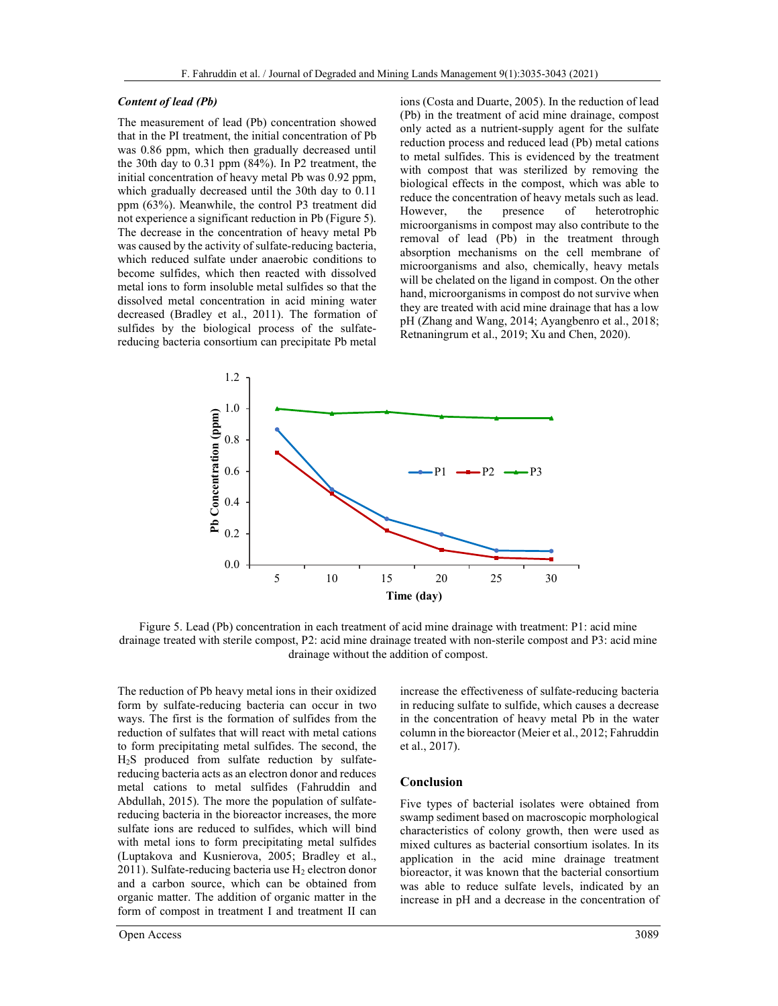#### Content of lead (Pb)

The measurement of lead (Pb) concentration showed that in the PI treatment, the initial concentration of Pb was 0.86 ppm, which then gradually decreased until the 30th day to 0.31 ppm (84%). In P2 treatment, the initial concentration of heavy metal Pb was 0.92 ppm, which gradually decreased until the 30th day to 0.11 ppm (63%). Meanwhile, the control P3 treatment did not experience a significant reduction in Pb (Figure 5). The decrease in the concentration of heavy metal Pb was caused by the activity of sulfate-reducing bacteria, which reduced sulfate under anaerobic conditions to become sulfides, which then reacted with dissolved metal ions to form insoluble metal sulfides so that the dissolved metal concentration in acid mining water decreased (Bradley et al., 2011). The formation of sulfides by the biological process of the sulfatereducing bacteria consortium can precipitate Pb metal ions (Costa and Duarte, 2005). In the reduction of lead (Pb) in the treatment of acid mine drainage, compost only acted as a nutrient-supply agent for the sulfate reduction process and reduced lead (Pb) metal cations to metal sulfides. This is evidenced by the treatment with compost that was sterilized by removing the biological effects in the compost, which was able to reduce the concentration of heavy metals such as lead. However, the presence of heterotrophic microorganisms in compost may also contribute to the removal of lead (Pb) in the treatment through absorption mechanisms on the cell membrane of microorganisms and also, chemically, heavy metals will be chelated on the ligand in compost. On the other hand, microorganisms in compost do not survive when they are treated with acid mine drainage that has a low pH (Zhang and Wang, 2014; Ayangbenro et al., 2018; Retnaningrum et al., 2019; Xu and Chen, 2020).



Figure 5. Lead (Pb) concentration in each treatment of acid mine drainage with treatment: P1: acid mine drainage treated with sterile compost, P2: acid mine drainage treated with non-sterile compost and P3: acid mine drainage without the addition of compost.

The reduction of Pb heavy metal ions in their oxidized form by sulfate-reducing bacteria can occur in two ways. The first is the formation of sulfides from the reduction of sulfates that will react with metal cations to form precipitating metal sulfides. The second, the H2S produced from sulfate reduction by sulfatereducing bacteria acts as an electron donor and reduces metal cations to metal sulfides (Fahruddin and Abdullah, 2015). The more the population of sulfatereducing bacteria in the bioreactor increases, the more sulfate ions are reduced to sulfides, which will bind with metal ions to form precipitating metal sulfides (Luptakova and Kusnierova, 2005; Bradley et al., 2011). Sulfate-reducing bacteria use  $H_2$  electron donor and a carbon source, which can be obtained from organic matter. The addition of organic matter in the form of compost in treatment I and treatment II can

Open Access 3089

increase the effectiveness of sulfate-reducing bacteria in reducing sulfate to sulfide, which causes a decrease in the concentration of heavy metal Pb in the water column in the bioreactor (Meier et al., 2012; Fahruddin et al., 2017).

#### Conclusion

Five types of bacterial isolates were obtained from swamp sediment based on macroscopic morphological characteristics of colony growth, then were used as mixed cultures as bacterial consortium isolates. In its application in the acid mine drainage treatment bioreactor, it was known that the bacterial consortium was able to reduce sulfate levels, indicated by an increase in pH and a decrease in the concentration of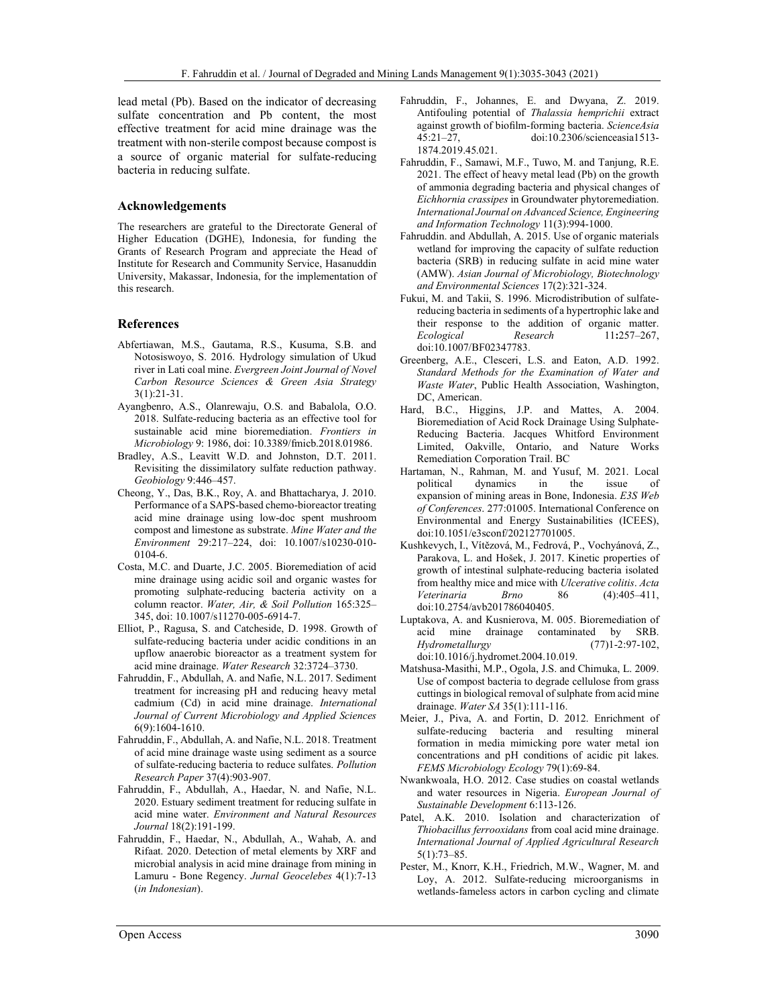lead metal (Pb). Based on the indicator of decreasing sulfate concentration and Pb content, the most effective treatment for acid mine drainage was the treatment with non-sterile compost because compost is a source of organic material for sulfate-reducing bacteria in reducing sulfate.

#### Acknowledgements

The researchers are grateful to the Directorate General of Higher Education (DGHE), Indonesia, for funding the Grants of Research Program and appreciate the Head of Institute for Research and Community Service, Hasanuddin University, Makassar, Indonesia, for the implementation of this research.

#### References

- Abfertiawan, M.S., Gautama, R.S., Kusuma, S.B. and Notosiswoyo, S. 2016. Hydrology simulation of Ukud river in Lati coal mine. Evergreen Joint Journal of Novel Carbon Resource Sciences & Green Asia Strategy 3(1):21-31.
- Ayangbenro, A.S., Olanrewaju, O.S. and Babalola, O.O. 2018. Sulfate-reducing bacteria as an effective tool for sustainable acid mine bioremediation. Frontiers in Microbiology 9: 1986, doi: 10.3389/fmicb.2018.01986.
- Bradley, A.S., Leavitt W.D. and Johnston, D.T. 2011. Revisiting the dissimilatory sulfate reduction pathway. Geobiology 9:446–457.
- Cheong, Y., Das, B.K., Roy, A. and Bhattacharya, J. 2010. Performance of a SAPS-based chemo-bioreactor treating acid mine drainage using low-doc spent mushroom compost and limestone as substrate. Mine Water and the Environment 29:217–224, doi: 10.1007/s10230-010- 0104-6.
- Costa, M.C. and Duarte, J.C. 2005. Bioremediation of acid mine drainage using acidic soil and organic wastes for promoting sulphate-reducing bacteria activity on a column reactor. Water, Air, & Soil Pollution 165:325– 345, doi: 10.1007/s11270-005-6914-7.
- Elliot, P., Ragusa, S. and Catcheside, D. 1998. Growth of sulfate-reducing bacteria under acidic conditions in an upflow anaerobic bioreactor as a treatment system for acid mine drainage. Water Research 32:3724–3730.
- Fahruddin, F., Abdullah, A. and Nafie, N.L. 2017. Sediment treatment for increasing pH and reducing heavy metal cadmium (Cd) in acid mine drainage. International Journal of Current Microbiology and Applied Sciences 6(9):1604-1610.
- Fahruddin, F., Abdullah, A. and Nafie, N.L. 2018. Treatment of acid mine drainage waste using sediment as a source of sulfate-reducing bacteria to reduce sulfates. Pollution Research Paper 37(4):903-907.
- Fahruddin, F., Abdullah, A., Haedar, N. and Nafie, N.L. 2020. Estuary sediment treatment for reducing sulfate in acid mine water. Environment and Natural Resources Journal 18(2):191-199.
- Fahruddin, F., Haedar, N., Abdullah, A., Wahab, A. and Rifaat. 2020. Detection of metal elements by XRF and microbial analysis in acid mine drainage from mining in Lamuru - Bone Regency. Jurnal Geocelebes 4(1):7-13 (in Indonesian).
- Fahruddin, F., Johannes, E. and Dwyana, Z. 2019. Antifouling potential of Thalassia hemprichii extract against growth of biofilm-forming bacteria. ScienceAsia 45:21–27, doi:10.2306/scienceasia1513- 1874.2019.45.021.
- Fahruddin, F., Samawi, M.F., Tuwo, M. and Tanjung, R.E. 2021. The effect of heavy metal lead (Pb) on the growth of ammonia degrading bacteria and physical changes of Eichhornia crassipes in Groundwater phytoremediation. International Journal on Advanced Science, Engineering and Information Technology 11(3):994-1000.
- Fahruddin. and Abdullah, A. 2015. Use of organic materials wetland for improving the capacity of sulfate reduction bacteria (SRB) in reducing sulfate in acid mine water (AMW). Asian Journal of Microbiology, Biotechnology and Environmental Sciences 17(2):321-324.
- Fukui, M. and Takii, S. 1996. Microdistribution of sulfatereducing bacteria in sediments of a hypertrophic lake and their response to the addition of organic matter. Ecological Research 11:257-267, doi:10.1007/BF02347783.
- Greenberg, A.E., Clesceri, L.S. and Eaton, A.D. 1992. Standard Methods for the Examination of Water and Waste Water, Public Health Association, Washington, DC, American.
- Hard, B.C., Higgins, J.P. and Mattes, A. 2004. Bioremediation of Acid Rock Drainage Using Sulphate-Reducing Bacteria. Jacques Whitford Environment Limited, Oakville, Ontario, and Nature Works Remediation Corporation Trail. BC
- Hartaman, N., Rahman, M. and Yusuf, M. 2021. Local political dynamics in the issue of expansion of mining areas in Bone, Indonesia. E3S Web of Conferences. 277:01005. International Conference on Environmental and Energy Sustainabilities (ICEES), doi:10.1051/e3sconf/202127701005.
- Kushkevych, I., Vítězová, M., Fedrová, P., Vochyánová, Z., Parakova, L. and Hošek, J. 2017. Kinetic properties of growth of intestinal sulphate-reducing bacteria isolated from healthy mice and mice with Ulcerative colitis. Acta Veterinaria Brno 86 (4):405–411, doi:10.2754/avb201786040405.
- Luptakova, A. and Kusnierova, M. 005. Bioremediation of acid mine drainage contaminated by SRB. Hydrometallurgy (77)1-2:97-102, doi:10.1016/j.hydromet.2004.10.019.
- Matshusa-Masithi, M.P., Ogola, J.S. and Chimuka, L. 2009. Use of compost bacteria to degrade cellulose from grass cuttings in biological removal of sulphate from acid mine drainage. Water SA 35(1):111-116.
- Meier, J., Piva, A. and Fortin, D. 2012. Enrichment of sulfate-reducing bacteria and resulting mineral formation in media mimicking pore water metal ion concentrations and pH conditions of acidic pit lakes. FEMS Microbiology Ecology 79(1):69-84.
- Nwankwoala, H.O. 2012. Case studies on coastal wetlands and water resources in Nigeria. European Journal of Sustainable Development 6:113-126.
- Patel, A.K. 2010. Isolation and characterization of Thiobacillus ferrooxidans from coal acid mine drainage. International Journal of Applied Agricultural Research 5(1):73–85.
- Pester, M., Knorr, K.H., Friedrich, M.W., Wagner, M. and Loy, A. 2012. Sulfate-reducing microorganisms in wetlands-fameless actors in carbon cycling and climate